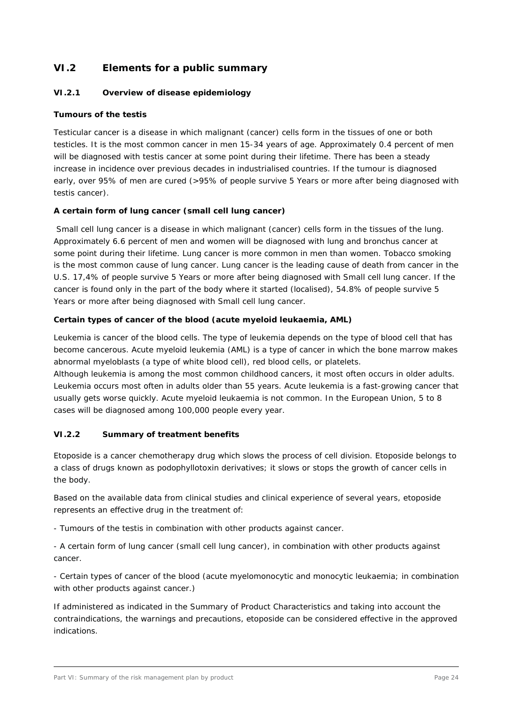# **VI.2 Elements for a public summary**

# **VI.2.1 Overview of disease epidemiology**

#### **Tumours of the testis**

Testicular cancer is a disease in which malignant (cancer) cells form in the tissues of one or both testicles. It is the most common cancer in men 15-34 years of age. Approximately 0.4 percent of men will be diagnosed with testis cancer at some point during their lifetime. There has been a steady increase in incidence over previous decades in industrialised countries. If the tumour is diagnosed early, over 95% of men are cured (>95% of people survive 5 Years or more after being diagnosed with testis cancer).

## **A certain form of lung cancer (small cell lung cancer)**

Small cell lung cancer is a disease in which malignant (cancer) cells form in the tissues of the lung. Approximately 6.6 percent of men and women will be diagnosed with lung and bronchus cancer at some point during their lifetime. Lung cancer is more common in men than women. Tobacco smoking is the most common cause of lung cancer. Lung cancer is the leading cause of death from cancer in the U.S. 17,4% of people survive 5 Years or more after being diagnosed with Small cell lung cancer. If the cancer is found only in the part of the body where it started (localised), 54.8% of people survive 5 Years or more after being diagnosed with Small cell lung cancer.

#### **Certain types of cancer of the blood (acute myeloid leukaemia, AML)**

Leukemia is cancer of the blood cells. The type of leukemia depends on the type of blood cell that has become cancerous. Acute myeloid leukemia (AML) is a type of cancer in which the bone marrow makes abnormal myeloblasts (a type of white blood cell), red blood cells, or platelets.

Although leukemia is among the most common childhood cancers, it most often occurs in older adults. Leukemia occurs most often in adults older than 55 years. Acute leukemia is a fast-growing cancer that usually gets worse quickly. Acute myeloid leukaemia is not common. In the European Union, 5 to 8 cases will be diagnosed among 100,000 people every year.

## **VI.2.2 Summary of treatment benefits**

Etoposide is a cancer chemotherapy drug which slows the process of cell division. Etoposide belongs to a class of drugs known as podophyllotoxin derivatives; it slows or stops the growth of cancer cells in the body.

Based on the available data from clinical studies and clinical experience of several years, etoposide represents an effective drug in the treatment of:

- Tumours of the testis in combination with other products against cancer.

- A certain form of lung cancer (small cell lung cancer), in combination with other products against cancer.

- Certain types of cancer of the blood (acute myelomonocytic and monocytic leukaemia; in combination with other products against cancer.)

If administered as indicated in the Summary of Product Characteristics and taking into account the contraindications, the warnings and precautions, etoposide can be considered effective in the approved indications.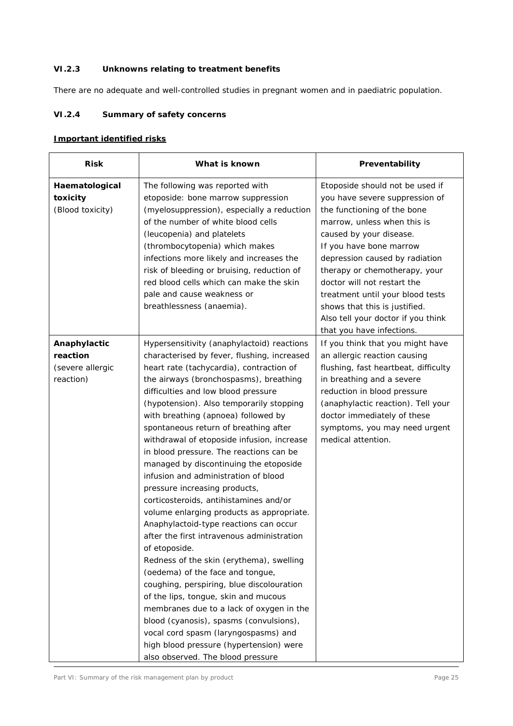# **VI.2.3 Unknowns relating to treatment benefits**

There are no adequate and well-controlled studies in pregnant women and in paediatric population.

# **VI.2.4 Summary of safety concerns**

## **Important identified risks**

| <b>Risk</b>                                               | What is known                                                                                                                                                                                                                                                                                                                                                                                                                                                                                                                                                                                                                                                                                                                                                                                                                                                                                                                                                                                                                                                                                                                                      | Preventability                                                                                                                                                                                                                                                                                                                                                                                                                  |
|-----------------------------------------------------------|----------------------------------------------------------------------------------------------------------------------------------------------------------------------------------------------------------------------------------------------------------------------------------------------------------------------------------------------------------------------------------------------------------------------------------------------------------------------------------------------------------------------------------------------------------------------------------------------------------------------------------------------------------------------------------------------------------------------------------------------------------------------------------------------------------------------------------------------------------------------------------------------------------------------------------------------------------------------------------------------------------------------------------------------------------------------------------------------------------------------------------------------------|---------------------------------------------------------------------------------------------------------------------------------------------------------------------------------------------------------------------------------------------------------------------------------------------------------------------------------------------------------------------------------------------------------------------------------|
| Haematological<br>toxicity<br>(Blood toxicity)            | The following was reported with<br>etoposide: bone marrow suppression<br>(myelosuppression), especially a reduction<br>of the number of white blood cells<br>(leucopenia) and platelets<br>(thrombocytopenia) which makes<br>infections more likely and increases the<br>risk of bleeding or bruising, reduction of<br>red blood cells which can make the skin<br>pale and cause weakness or<br>breathlessness (anaemia).                                                                                                                                                                                                                                                                                                                                                                                                                                                                                                                                                                                                                                                                                                                          | Etoposide should not be used if<br>you have severe suppression of<br>the functioning of the bone<br>marrow, unless when this is<br>caused by your disease.<br>If you have bone marrow<br>depression caused by radiation<br>therapy or chemotherapy, your<br>doctor will not restart the<br>treatment until your blood tests<br>shows that this is justified.<br>Also tell your doctor if you think<br>that you have infections. |
| Anaphylactic<br>reaction<br>(severe allergic<br>reaction) | Hypersensitivity (anaphylactoid) reactions<br>characterised by fever, flushing, increased<br>heart rate (tachycardia), contraction of<br>the airways (bronchospasms), breathing<br>difficulties and low blood pressure<br>(hypotension). Also temporarily stopping<br>with breathing (apnoea) followed by<br>spontaneous return of breathing after<br>withdrawal of etoposide infusion, increase<br>in blood pressure. The reactions can be<br>managed by discontinuing the etoposide<br>infusion and administration of blood<br>pressure increasing products,<br>corticosteroids, antihistamines and/or<br>volume enlarging products as appropriate.<br>Anaphylactoid-type reactions can occur<br>after the first intravenous administration<br>of etoposide.<br>Redness of the skin (erythema), swelling<br>(oedema) of the face and tongue,<br>coughing, perspiring, blue discolouration<br>of the lips, tongue, skin and mucous<br>membranes due to a lack of oxygen in the<br>blood (cyanosis), spasms (convulsions),<br>vocal cord spasm (laryngospasms) and<br>high blood pressure (hypertension) were<br>also observed. The blood pressure | If you think that you might have<br>an allergic reaction causing<br>flushing, fast heartbeat, difficulty<br>in breathing and a severe<br>reduction in blood pressure<br>(anaphylactic reaction). Tell your<br>doctor immediately of these<br>symptoms, you may need urgent<br>medical attention.                                                                                                                                |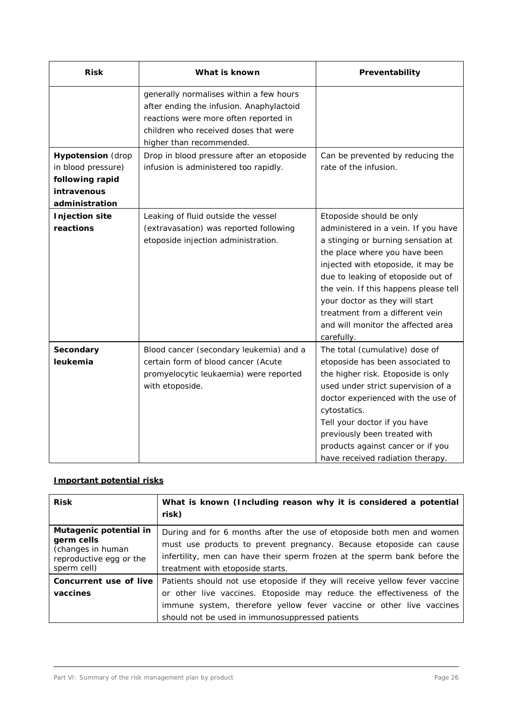| <b>Risk</b>                                                                                        | What is known                                                                                                                                                                                     | Preventability                                                                                                                                                                                                                                                                                                                                                                       |
|----------------------------------------------------------------------------------------------------|---------------------------------------------------------------------------------------------------------------------------------------------------------------------------------------------------|--------------------------------------------------------------------------------------------------------------------------------------------------------------------------------------------------------------------------------------------------------------------------------------------------------------------------------------------------------------------------------------|
|                                                                                                    | generally normalises within a few hours<br>after ending the infusion. Anaphylactoid<br>reactions were more often reported in<br>children who received doses that were<br>higher than recommended. |                                                                                                                                                                                                                                                                                                                                                                                      |
| <b>Hypotension</b> (drop<br>in blood pressure)<br>following rapid<br>intravenous<br>administration | Drop in blood pressure after an etoposide<br>infusion is administered too rapidly.                                                                                                                | Can be prevented by reducing the<br>rate of the infusion.                                                                                                                                                                                                                                                                                                                            |
| <b>Injection site</b><br>reactions                                                                 | Leaking of fluid outside the vessel<br>(extravasation) was reported following<br>etoposide injection administration.                                                                              | Etoposide should be only<br>administered in a vein. If you have<br>a stinging or burning sensation at<br>the place where you have been<br>injected with etoposide, it may be<br>due to leaking of etoposide out of<br>the vein. If this happens please tell<br>your doctor as they will start<br>treatment from a different vein<br>and will monitor the affected area<br>carefully. |
| Secondary<br>leukemia                                                                              | Blood cancer (secondary leukemia) and a<br>certain form of blood cancer (Acute<br>promyelocytic leukaemia) were reported<br>with etoposide.                                                       | The total (cumulative) dose of<br>etoposide has been associated to<br>the higher risk. Etoposide is only<br>used under strict supervision of a<br>doctor experienced with the use of<br>cytostatics.<br>Tell your doctor if you have<br>previously been treated with<br>products against cancer or if you<br>have received radiation therapy.                                        |

# **Important potential risks**

| <b>Risk</b>                                                                                         | What is known (Including reason why it is considered a potential<br>risk)                                                                                                                                                                                                       |
|-----------------------------------------------------------------------------------------------------|---------------------------------------------------------------------------------------------------------------------------------------------------------------------------------------------------------------------------------------------------------------------------------|
| Mutagenic potential in<br>germ cells<br>(changes in human<br>reproductive egg or the<br>sperm cell) | During and for 6 months after the use of etoposide both men and women<br>must use products to prevent pregnancy. Because etoposide can cause<br>infertility, men can have their sperm frozen at the sperm bank before the<br>treatment with etoposide starts.                   |
| Concurrent use of live<br>vaccines                                                                  | Patients should not use etoposide if they will receive yellow fever vaccine<br>or other live vaccines. Etoposide may reduce the effectiveness of the<br>immune system, therefore yellow fever vaccine or other live vaccines<br>should not be used in immunosuppressed patients |